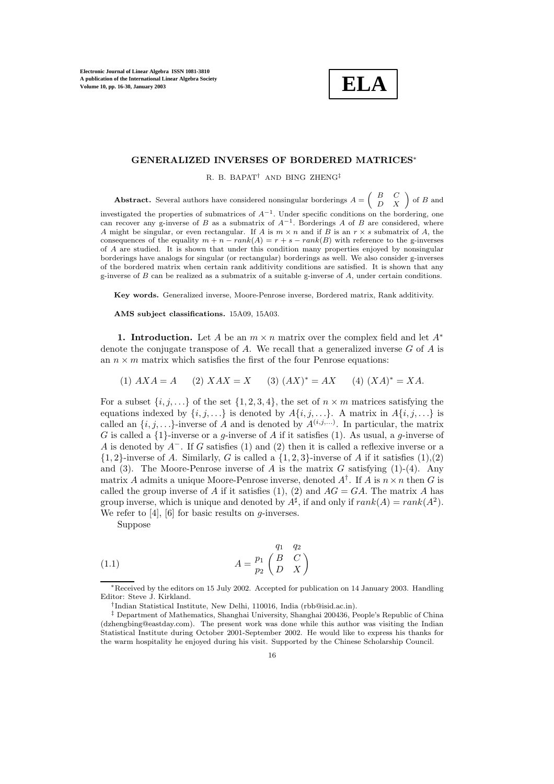

## **GENERALIZED INVERSES OF BORDERED MATRICES**<sup>∗</sup>

R. B. BAPAT† AND BING ZHENG‡

**Abstract.** Several authors have considered nonsingular borderings  $A = \begin{pmatrix} B & C \\ D & X \end{pmatrix}$  of B and ctirated the properties of submatrices of  $A^{-1}$ . Under apseing conditions on the bordering appear investigated the properties of submatrices of  $A^{-1}$ . Under specific conditions on the bordering, one can recover any g-inverse of B as a submatrix of  $A^{-1}$ . Borderings A of B are considered, where A might be singular, or even rectangular. If A is  $m \times n$  and if B is an  $r \times s$  submatrix of A, the consequences of the equality  $m + n - rank(A) = r + s - rank(B)$  with reference to the g-inverses of A are studied. It is shown that under this condition many properties enjoyed by nonsingular borderings have analogs for singular (or rectangular) borderings as well. We also consider g-inverses of the bordered matrix when certain rank additivity conditions are satisfied. It is shown that any g-inverse of  $B$  can be realized as a submatrix of a suitable g-inverse of  $A$ , under certain conditions.

**Key words.** Generalized inverse, Moore-Penrose inverse, Bordered matrix, Rank additivity.

**AMS subject classifications.** 15A09, 15A03.

**1. Introduction.** Let A be an  $m \times n$  matrix over the complex field and let  $A^*$ denote the conjugate transpose of  $A$ . We recall that a generalized inverse  $G$  of  $A$  is an  $n \times m$  matrix which satisfies the first of the four Penrose equations:

(1)  $AXA = A$  (2)  $XAX = X$  (3)  $(AX)^* = AX$  (4)  $(XA)^* = XA$ .

For a subset  $\{i, j, \ldots\}$  of the set  $\{1, 2, 3, 4\}$ , the set of  $n \times m$  matrices satisfying the equations indexed by  $\{i, j, \ldots\}$  is denoted by  $A\{i, j, \ldots\}$ . A matrix in  $A\{i, j, \ldots\}$  is called an  $\{i, j, \ldots\}$ -inverse of A and is denoted by  $A^{(i,j,\ldots)}$ . In particular, the matrix G is called a  $\{1\}$ -inverse or a g-inverse of A if it satisfies (1). As usual, a g-inverse of A is denoted by  $A^-$ . If G satisfies (1) and (2) then it is called a reflexive inverse or a  $\{1, 2\}$ -inverse of A. Similarly, G is called a  $\{1, 2, 3\}$ -inverse of A if it satisfies  $(1), (2)$ and (3). The Moore-Penrose inverse of A is the matrix G satisfying (1)-(4). Any matrix A admits a unique Moore-Penrose inverse, denoted  $A^{\dagger}$ . If A is  $n \times n$  then G is called the group inverse of A if it satisfies (1), (2) and  $AG = GA$ . The matrix A has group inverse, which is unique and denoted by  $A^{\sharp}$ , if and only if  $rank(A) = rank(A^2)$ . We refer to  $[4]$ ,  $[6]$  for basic results on g-inverses.

Suppose

(1.1) 
$$
A = \begin{matrix} q_1 & q_2 \\ p_1 & B & C \\ p_2 & D & X \end{matrix}
$$

<sup>∗</sup>Received by the editors on 15 July 2002. Accepted for publication on 14 January 2003. Handling Editor: Steve J. Kirkland.

<sup>†</sup>Indian Statistical Institute, New Delhi, 110016, India (rbb@isid.ac.in).

<sup>‡</sup> Department of Mathematics, Shanghai University, Shanghai 200436, People's Republic of China (dzhengbing@eastday.com). The present work was done while this author was visiting the Indian Statistical Institute during October 2001-September 2002. He would like to express his thanks for the warm hospitality he enjoyed during his visit. Supported by the Chinese Scholarship Council.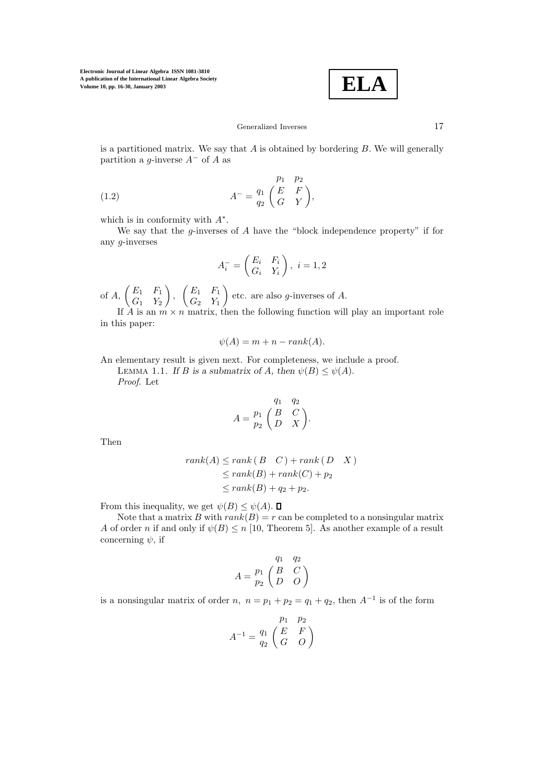$$
\boxed{\textbf{ELA}}
$$

## Generalized Inverses 17

is a partitioned matrix. We say that  $A$  is obtained by bordering  $B$ . We will generally partition a *g*-inverse  $A^-$  of A as

(1.2) 
$$
A^{-} = \frac{q_1}{q_2} \begin{pmatrix} E & F \\ G & Y \end{pmatrix},
$$

which is in conformity with  $A^*$ .

We say that the  $g$ -inverses of  $A$  have the "block independence property" if for any g-inverses

$$
A_i^- = \begin{pmatrix} E_i & F_i \\ G_i & Y_i \end{pmatrix}, \ i = 1, 2
$$

of  $A, \begin{pmatrix} E_1 & F_1 \\ C & V \end{pmatrix}$  $G_1$   $Y_2$  $\Big\}, \ \ \left(\begin{matrix} E_1 & F_1 \ C & V \end{matrix}\right)$  $G_2$   $Y_1$ ) etc. are also *g*-inverses of  $A$ .

If A is an  $m \times n$  matrix, then the following function will play an important role in this paper:

$$
\psi(A) = m + n - rank(A).
$$

An elementary result is given next. For completeness, we include a proof. LEMMA 1.1. If B is a submatrix of A, then  $\psi(B) \leq \psi(A)$ . *Proof*. Let

$$
A = \begin{pmatrix} q_1 & q_2 \\ p_1 & B & C \\ D & X \end{pmatrix}.
$$

Then

$$
rank(A) \le rank(B \ C) + rank(D \ X)
$$
  
\n
$$
\le rank(B) + rank(C) + p_2
$$
  
\n
$$
\le rank(B) + q_2 + p_2.
$$

From this inequality, we get  $\psi(B) \leq \psi(A)$ .  $\Box$ 

Note that a matrix B with  $rank(B) = r$  can be completed to a nonsingular matrix A of order n if and only if  $\psi(B) \le n$  [10, Theorem 5]. As another example of a result concerning  $\psi$ , if

$$
A = \begin{pmatrix} q_1 & q_2 \\ p_1 & B & C \\ p_2 & D & O \end{pmatrix}
$$

is a nonsingular matrix of order n,  $n = p_1 + p_2 = q_1 + q_2$ , then  $A^{-1}$  is of the form

$$
A^{-1} = \frac{q_1}{q_2} \begin{pmatrix} p_1 & p_2 \\ E & F \\ G & O \end{pmatrix}
$$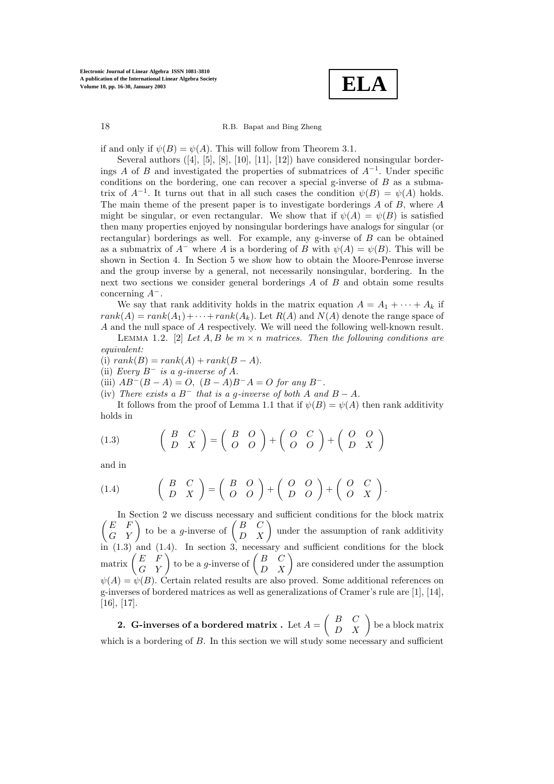

if and only if  $\psi(B) = \psi(A)$ . This will follow from Theorem 3.1.

Several authors ([4], [5], [8], [10], [11], [12]) have considered nonsingular borderings A of B and investigated the properties of submatrices of  $A^{-1}$ . Under specific conditions on the bordering, one can recover a special g-inverse of  $B$  as a submatrix of  $A^{-1}$ . It turns out that in all such cases the condition  $\psi(B) = \psi(A)$  holds. The main theme of the present paper is to investigate borderings  $A$  of  $B$ , where  $A$ might be singular, or even rectangular. We show that if  $\psi(A) = \psi(B)$  is satisfied then many properties enjoyed by nonsingular borderings have analogs for singular (or rectangular) borderings as well. For example, any g-inverse of B can be obtained as a submatrix of  $A^-$  where A is a bordering of B with  $\psi(A) = \psi(B)$ . This will be shown in Section 4. In Section 5 we show how to obtain the Moore-Penrose inverse and the group inverse by a general, not necessarily nonsingular, bordering. In the next two sections we consider general borderings A of B and obtain some results concerning A−.

We say that rank additivity holds in the matrix equation  $A = A_1 + \cdots + A_k$  if  $rank(A) = rank(A_1) + \cdots + rank(A_k)$ . Let  $R(A)$  and  $N(A)$  denote the range space of A and the null space of A respectively. We will need the following well-known result.

LEMMA 1.2. [2] *Let*  $A, B$  *be*  $m \times n$  *matrices. Then the following conditions are equivalent:*

(i)  $rank(B) = rank(A) + rank(B - A).$ 

(ii) *Every* B<sup>−</sup> *is a* g*-inverse of* A*.*

(iii)  $AB^{-}(B - A) = O$ ,  $(B - A)B^{-}A = O$  *for any*  $B^{-}$ .

(iv) *There exists a*  $B^-$  *that is a g-inverse of both* A and  $B - A$ *.* 

It follows from the proof of Lemma 1.1 that if  $\psi(B) = \psi(A)$  then rank additivity holds in

(1.3) 
$$
\begin{pmatrix} B & C \ D & X \end{pmatrix} = \begin{pmatrix} B & O \ O & O \end{pmatrix} + \begin{pmatrix} O & C \ O & O \end{pmatrix} + \begin{pmatrix} O & O \ D & X \end{pmatrix}
$$

and in

$$
(1.4) \qquad \begin{pmatrix} B & C \\ D & X \end{pmatrix} = \begin{pmatrix} B & O \\ O & O \end{pmatrix} + \begin{pmatrix} O & O \\ D & O \end{pmatrix} + \begin{pmatrix} O & C \\ O & X \end{pmatrix}.
$$

 $\sqrt{2}$ In Section 2 we discuss necessary and sufficient conditions for the block matrix  $\begin{pmatrix} E & F \\ G & Y \end{pmatrix}$  to be a g-inverse of  $\begin{pmatrix} B & C \\ D & X \end{pmatrix}$  under the assumption of rank additivity in (1.3) and (1.4). In section 3, necessary and sufficient conditions for the block  $\operatorname{matrix} \begin{pmatrix} E & F \ G & Y \end{pmatrix}$  to be a g-inverse of  $\begin{pmatrix} B & C \ D & X \end{pmatrix}$  are considered under the assumption  $\psi(A) = \psi(B)$ . Certain related results are also proved. Some additional references on g-inverses of bordered matrices as well as generalizations of Cramer's rule are [1], [14], [16], [17].

**2.** G-inverses of a bordered matrix . Let  $A = \begin{pmatrix} B & C \ D & X \end{pmatrix}$  be a block matrix which is a bordering of  $B$ . In this section we will study some necessary and sufficient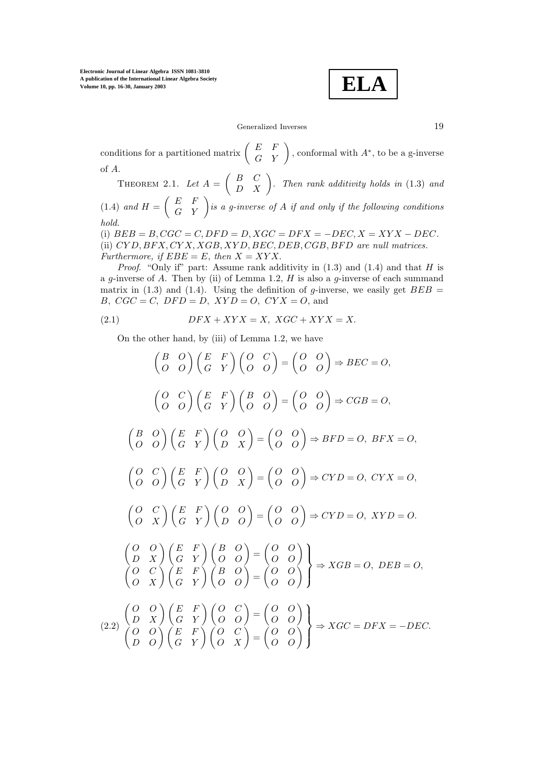**ELA**

Generalized Inverses 19

conditions for a partitioned matrix  $\begin{pmatrix} E & F \\ G & Y \end{pmatrix}$ , conformal with  $A^*$ , to be a g-inverse of A.

THEOREM 2.1. Let  $A = \begin{pmatrix} B & C \ D & X \end{pmatrix}$ . Then rank additivity holds in (1.3) and

(1.4) and  $H = \begin{pmatrix} E & F \\ G & Y \end{pmatrix}$  is a g-inverse of A if and only if the following conditions *hold.*

(i)  $BEB = B, CGC = C, DFD = D, XGC = DFX = -DEC, X = XYX - DEC.$ (ii) CY D, BF X, CY X, XGB, XY D, BEC, DEB, CGB, BF D *are null matrices. Furthermore, if*  $EBE = E$ *, then*  $X = XYX$ .

*Proof.* "Only if" part: Assume rank additivity in  $(1.3)$  and  $(1.4)$  and that H is a g-inverse of A. Then by (ii) of Lemma 1.2,  $H$  is also a g-inverse of each summand matrix in (1.3) and (1.4). Using the definition of g-inverse, we easily get  $BEB =$ B,  $CGC = C$ ,  $DFD = D$ ,  $XYD = O$ ,  $CYX = O$ , and

$$
(2.1) \tDFX + XYX = X, XGC + XYX = X.
$$

On the other hand, by (iii) of Lemma 1.2, we have

$$
\begin{pmatrix}\nB & O \\
O & O\n\end{pmatrix}\n\begin{pmatrix}\nE & F \\
G & Y\n\end{pmatrix}\n\begin{pmatrix}\nO & C \\
O & O\n\end{pmatrix} =\n\begin{pmatrix}\nO & O \\
O & O\n\end{pmatrix} \Rightarrow BEC = O,
$$
\n
$$
\begin{pmatrix}\nO & C \\
O & O\n\end{pmatrix}\n\begin{pmatrix}\nE & F \\
G & Y\n\end{pmatrix}\n\begin{pmatrix}\nB & O \\
O & O\n\end{pmatrix} =\n\begin{pmatrix}\nO & O \\
O & O\n\end{pmatrix} \Rightarrow CGB = O,
$$
\n
$$
\begin{pmatrix}\nB & O \\
O & O\n\end{pmatrix}\n\begin{pmatrix}\nE & F \\
G & Y\n\end{pmatrix}\n\begin{pmatrix}\nO & O \\
D & X\n\end{pmatrix} =\n\begin{pmatrix}\nO & O \\
O & O\n\end{pmatrix} \Rightarrow BFD = O, BFX = O,
$$
\n
$$
\begin{pmatrix}\nO & C \\
O & O\n\end{pmatrix}\n\begin{pmatrix}\nE & F \\
G & Y\n\end{pmatrix}\n\begin{pmatrix}\nO & O \\
D & X\n\end{pmatrix} =\n\begin{pmatrix}\nO & O \\
O & O\n\end{pmatrix} \Rightarrow CYD = O, XYD = O.
$$
\n
$$
\begin{pmatrix}\nO & O \\
O & X\n\end{pmatrix}\n\begin{pmatrix}\nE & F \\
G & Y\n\end{pmatrix}\n\begin{pmatrix}\nB & O \\
O & O\n\end{pmatrix} =\n\begin{pmatrix}\nO & O \\
O & O\n\end{pmatrix}
$$
\n
$$
\Rightarrow XGB = O, DEB = O,
$$
\n
$$
\begin{pmatrix}\nO & C \\
O & X\n\end{pmatrix}\n\begin{pmatrix}\nE & F \\
G & Y\n\end{pmatrix}\n\begin{pmatrix}\nO & C \\
O & O\n\end{pmatrix} =\n\begin{pmatrix}\nO & O \\
O & O\n\end{pmatrix}
$$
\n
$$
\Rightarrow XGB = O, DEB = O,
$$
\n
$$
\begin{pmatrix}\nO & O \\
O & X\n\end{pmatrix}\n\begin{pmatrix}\nE & F \\
G & Y\n\end{pmatrix}\n\begin{pmatrix}\nO & C \\
O & O\n\end{pmatrix} =\n\begin{pmatrix}\nO & O \\
O & O\n\end{pmatrix}
$$
\n
$$
\Rightarrow
$$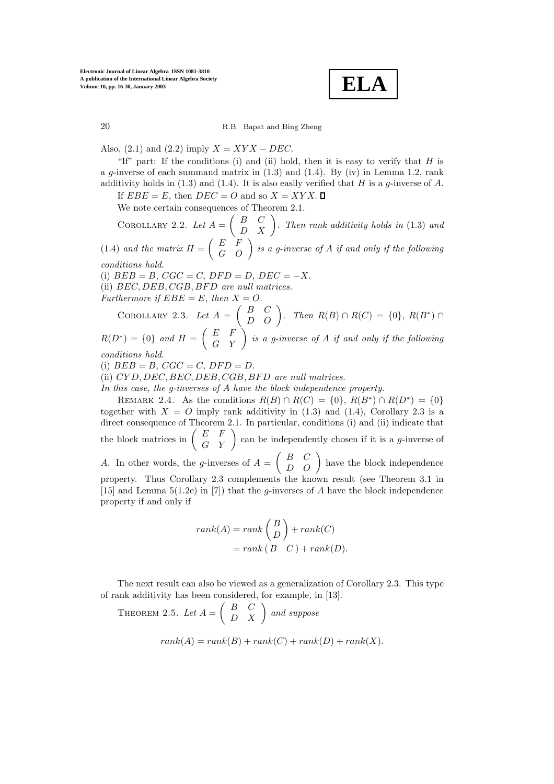**ELA**

Also, (2.1) and (2.2) imply  $X = XYX - DEC$ .

"If" part: If the conditions (i) and (ii) hold, then it is easy to verify that  $H$  is a q-inverse of each summand matrix in  $(1.3)$  and  $(1.4)$ . By (iv) in Lemma 1.2, rank additivity holds in (1.3) and (1.4). It is also easily verified that H is a  $g$ -inverse of A.

If  $EBE = E$ , then  $DEC = O$  and so  $X = XYX$ .

We note certain consequences of Theorem 2.1.

COROLLARY 2.2. Let  $A = \begin{pmatrix} B & C \ D & X \end{pmatrix}$ . Then rank additivity holds in (1.3) and (1.4) and the matrix  $H = \begin{pmatrix} E & F \\ G & O \end{pmatrix}$  is a g-inverse of A if and only if the following *conditions hold.*

(i)  $BEB = B$ ,  $CGC = C$ ,  $DFD = D$ ,  $DEC = -X$ . (ii)  $BEC, DEB, CGB, BFD$  are null matrices. *Furthermore if*  $EBE = E$ , *then*  $X = O$ .

COROLLARY 2.3. *Let*  $A = \begin{pmatrix} B & C \\ D & O \end{pmatrix}$ . *Then*  $R(B) \cap R(C) = \{0\}$ ,  $R(B^*) \cap$ 

 $R(D^*) = \{0\}$  and  $H = \left( \begin{array}{ll} E & F \ G & Y \end{array} \right)$  is a g-inverse of  $A$  if and only if the following *conditions hold.*

(i)  $BEB = B$ ,  $CGC = C$ ,  $DFD = D$ .

(ii) CY D, DEC, BEC, DEB, CGB, BF D *are null matrices.*

In this case, the g-inverses of A have the block independence property.

REMARK 2.4. As the conditions  $R(B) \cap R(C) = \{0\}, R(B^*) \cap R(D^*) = \{0\}$ together with  $X = O$  imply rank additivity in (1.3) and (1.4), Corollary 2.3 is a direct consequence of Theorem 2.1. In particular, conditions (i) and (ii) indicate that the block matrices in  $\begin{pmatrix} E & F \\ G & Y \end{pmatrix}$  can be independently chosen if it is a *g*-inverse of A. In other words, the g-inverses of  $A = \begin{pmatrix} B & C \\ D & O \end{pmatrix}$  have the block independence property. Thus Corollary 2.3 complements the known result (see Theorem 3.1 in [15] and Lemma 5(1.2e) in [7]) that the g-inverses of A have the block independence property if and only if

$$
rank(A) = rank\begin{pmatrix} B \\ D \end{pmatrix} + rank(C)
$$

$$
= rank(B \ C) + rank(D).
$$

The next result can also be viewed as a generalization of Corollary 2.3. This type of rank additivity has been considered, for example, in [13].

THEOREM 2.5. Let  $A = \begin{pmatrix} B & C \ D & X \end{pmatrix}$  and suppose  $rank(A) = rank(B) + rank(C) + rank(D) + rank(X).$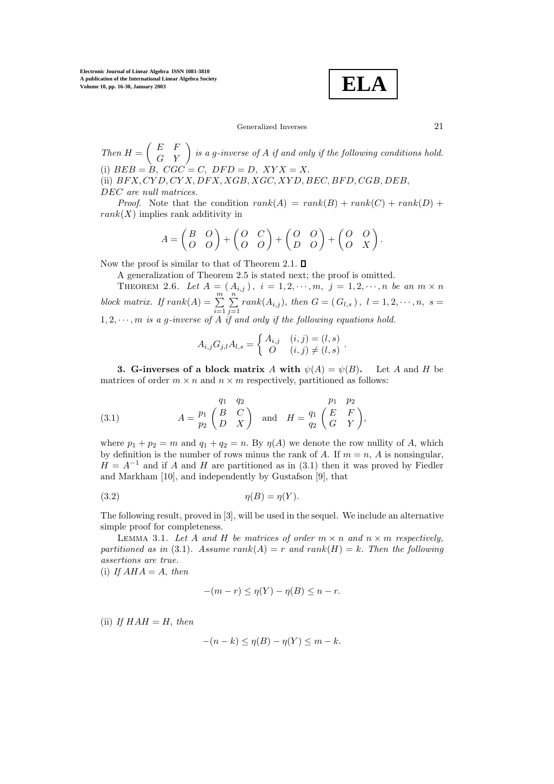**ELA**

Generalized Inverses 21

*Then*  $H = \begin{pmatrix} E & F \\ G & Y \end{pmatrix}$  is a g-inverse of A if and only if the following conditions hold. (i)  $BEB = B$ ,  $CGC = C$ ,  $DFD = D$ ,  $XYX = X$ . (ii)  $BFX, CYD, CYX, DFX, XGB, XGC, XYD, BEC, BFD, CGB, DEB,$ DEC *are null matrices.*

*Proof.* Note that the condition  $rank(A) = rank(B) + rank(C) + rank(D) +$  $rank(X)$  implies rank additivity in

$$
A = \begin{pmatrix} B & O \\ O & O \end{pmatrix} + \begin{pmatrix} O & C \\ O & O \end{pmatrix} + \begin{pmatrix} O & O \\ D & O \end{pmatrix} + \begin{pmatrix} O & O \\ O & X \end{pmatrix}.
$$

Now the proof is similar to that of Theorem 2.1.  $\Box$ 

A generalization of Theorem 2.5 is stated next; the proof is omitted.

THEOREM 2.6. Let  $A = (A_{i,j})$ ,  $i = 1, 2, \dots, m$ ,  $j = 1, 2, \dots, n$  be an  $m \times n$ *block matrix.* If  $rank(A) = \sum_{n=1}^{m}$  $\sum_{i=1}$  $\sum_{i=1}^{n}$  $\sum_{j=1}$  $rank(A_{i,j}),$  then  $G = (G_{l,s}), l = 1, 2, \dots, n, s =$  $1, 2, \cdots, m$  *is a g-inverse of*  $A$  *if and only if the following equations hold.* 

$$
A_{i,j}G_{j,l}A_{l,s} = \begin{cases} A_{i,j} & (i,j) = (l,s) \\ O & (i,j) \neq (l,s) \end{cases}.
$$

**3. G-inverses of a block matrix** A with  $\psi(A) = \psi(B)$ . Let A and H be matrices of order  $m \times n$  and  $n \times m$  respectively, partitioned as follows:

(3.1) 
$$
A = \begin{pmatrix} q_1 & q_2 & p_1 & p_2 \\ p_1 & B & C \\ D & X \end{pmatrix} \text{ and } H = \begin{pmatrix} p_1 & p_2 \\ q_2 & B \\ Q & Y \end{pmatrix},
$$

where  $p_1 + p_2 = m$  and  $q_1 + q_2 = n$ . By  $\eta(A)$  we denote the row nullity of A, which by definition is the number of rows minus the rank of A. If  $m = n$ , A is nonsingular,  $H = A^{-1}$  and if A and H are partitioned as in (3.1) then it was proved by Fiedler and Markham [10], and independently by Gustafson [9], that

$$
(3.2) \t\t \eta(B) = \eta(Y).
$$

The following result, proved in [3], will be used in the sequel. We include an alternative simple proof for completeness.

LEMMA 3.1. Let A and H be matrices of order  $m \times n$  and  $n \times m$  respectively, *partitioned as in* (3.1)*.* Assume  $rank(A) = r$  and  $rank(H) = k$ . Then the following *assertions are true.*

(i) If  $AHA = A$ , then

$$
-(m-r) \le \eta(Y) - \eta(B) \le n-r.
$$

 $(ii)$  *If*  $HAH = H$ , *then* 

$$
-(n-k) \le \eta(B) - \eta(Y) \le m - k.
$$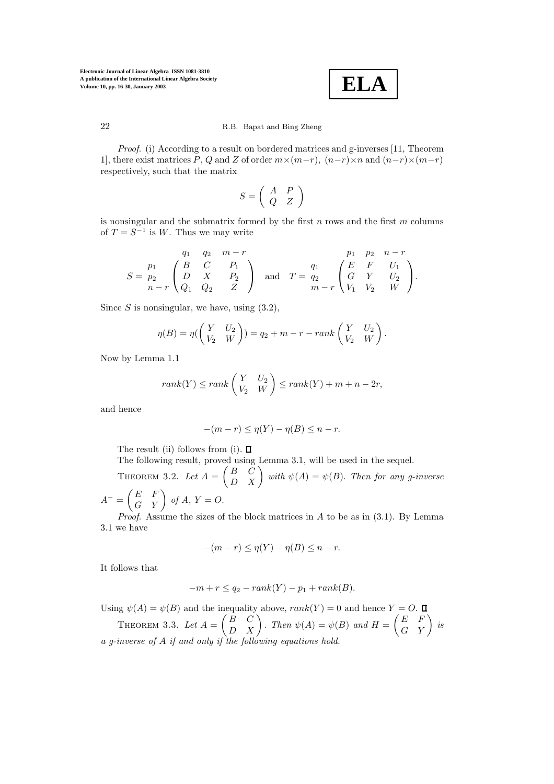$$
\boxed{\textbf{ELA}}
$$

*Proof*. (i) According to a result on bordered matrices and g-inverses [11, Theorem 1], there exist matrices P, Q and Z of order  $m \times (m-r)$ ,  $(n-r) \times n$  and  $(n-r) \times (m-r)$ respectively, such that the matrix

$$
S=\left(\begin{array}{cc}A&P\\Q&Z\end{array}\right)
$$

is nonsingular and the submatrix formed by the first  $n$  rows and the first  $m$  columns of  $T = S^{-1}$  is W. Thus we may write

$$
S = \begin{pmatrix} p_1 & q_2 & m-r \\ p_2 & D & X & P_2 \\ n-r & Q_1 & Q_2 & Z \end{pmatrix} \quad \text{and} \quad T = \begin{pmatrix} p_1 & p_2 & n-r \\ q_2 & E & F & U_1 \\ G & Y & U_2 & W \end{pmatrix}.
$$

Since  $S$  is nonsingular, we have, using  $(3.2)$ ,

$$
\eta(B) = \eta\left(\begin{pmatrix} Y & U_2 \\ V_2 & W \end{pmatrix}\right) = q_2 + m - r - rank\left(\begin{pmatrix} Y & U_2 \\ V_2 & W \end{pmatrix}\right).
$$

Now by Lemma 1.1

$$
rank(Y) \le rank\begin{pmatrix} Y & U_2 \\ V_2 & W \end{pmatrix} \le rank(Y) + m + n - 2r,
$$

and hence

$$
-(m-r) \le \eta(Y) - \eta(B) \le n-r.
$$

The result (ii) follows from (i).  $\Box$ 

The following result, proved using Lemma 3.1, will be used in the sequel.

THEOREM 3.2. Let  $A = \begin{pmatrix} B & C \ D & X \end{pmatrix}$  with  $\psi(A) = \psi(B)$ . Then for any g-inverse  $A^{-} = \begin{pmatrix} E & F \ G & Y \end{pmatrix}$  of  $A, Y = O$ .

*Proof.* Assume the sizes of the block matrices in A to be as in  $(3.1)$ . By Lemma 3.1we have

$$
-(m-r) \le \eta(Y) - \eta(B) \le n-r.
$$

It follows that

$$
-m + r \le q_2 - rank(Y) - p_1 + rank(B).
$$

Using  $\psi(A) = \psi(B)$  and the inequality above,  $rank(Y) = 0$  and hence  $Y = O$ . THEOREM 3.3. Let  $A = \begin{pmatrix} B & C \ D & X \end{pmatrix}$ . Then  $\psi(A) = \psi(B)$  and  $H = \begin{pmatrix} E & F \ G & Y \end{pmatrix}$  is *a g-inverse of* A *if and only if the following equations hold.*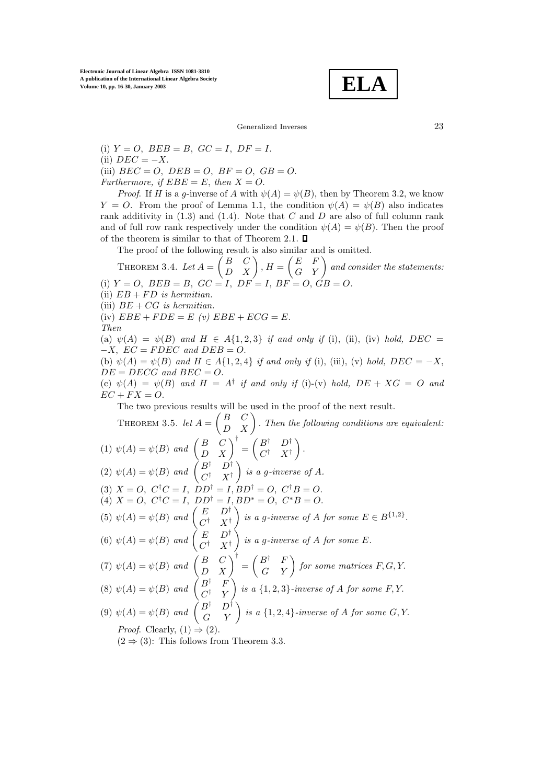$$
\boxed{\textbf{ELA}}
$$

Generalized Inverses 23

(i)  $Y = O$ ,  $BEB = B$ ,  $GC = I$ ,  $DF = I$ . (ii)  $DEC = -X$ . (iii)  $BEC = O$ ,  $DEB = O$ ,  $BF = O$ ,  $GB = O$ . *Furthermore, if*  $EBE = E$ *, then*  $X = O$ *.* 

*Proof.* If H is a g-inverse of A with  $\psi(A) = \psi(B)$ , then by Theorem 3.2, we know  $Y = O$ . From the proof of Lemma 1.1, the condition  $\psi(A) = \psi(B)$  also indicates rank additivity in  $(1.3)$  and  $(1.4)$ . Note that C and D are also of full column rank and of full row rank respectively under the condition  $\psi(A) = \psi(B)$ . Then the proof of the theorem is similar to that of Theorem 2.1.  $\Box$ 

The proof of the following result is also similar and is omitted.

THEOREM 3.4. Let  $A = \begin{pmatrix} B & C \ D & X \end{pmatrix}$ ,  $H = \begin{pmatrix} E & F \ G & Y \end{pmatrix}$  and consider the statements: (i)  $Y = O$ ,  $BEB = B$ ,  $GC = I$ ,  $DF = I$ ,  $BF = O$ ,  $GB = O$ .

(ii)  $EB + FD$  *is hermitian.* 

(iii) BE + CG *is hermitian.*

(iv)  $EBE + FDE = E (v) EBE + ECG = E$ .

*Then*

(a)  $\psi(A) = \psi(B)$  and  $H \in A\{1,2,3\}$  *if and only if* (i), (ii), (iv) *hold,* DEC  $-X$ ,  $EC = FDEC$  and  $DEB = O$ .

(b)  $\psi(A) = \psi(B)$  *and*  $H \in A\{1, 2, 4\}$  *if and only if* (i), (iii), (v) *hold,*  $DEC = -X$ ,  $DE = DECG$  and  $BEC = O$ .

(c)  $\psi(A) = \psi(B)$  and  $H = A^{\dagger}$  *if and only if* (i)-(v) *hold,*  $DE + XG = O$  *and*  $EC + FX = O.$ 

The two previous results will be used in the proof of the next result.

THEOREM 3.5. *let*  $A = \begin{pmatrix} B & C \ D & X \end{pmatrix}$ . *Then the following conditions are equivalent:* (1)  $\psi(A) = \psi(B)$  and  $\begin{pmatrix} B & C \\ D & X \end{pmatrix}^{\dagger} = \begin{pmatrix} B^{\dagger} & D^{\dagger} \\ C^{\dagger} & X^{\dagger} \end{pmatrix}$  $C^{\dagger}$   $X^{\dagger}$  $\big)$  . (2)  $\psi(A) = \psi(B)$  and  $\begin{pmatrix} B^{\dagger} & D^{\dagger} \\ C^{\dagger} & X^{\dagger} \end{pmatrix}$  $\bigg\}$  *is a g-inverse of A.* (3)  $X = O$ ,  $C^{\dagger}C = I$ ,  $DD^{\dagger} = I$ ,  $BD^{\dagger} = O$ ,  $C^{\dagger}B = O$ . (4)  $X = O$ ,  $C^{\dagger}C = I$ ,  $DD^{\dagger} = I$ ,  $BD^* = O$ ,  $C^*B = O$ . (5)  $\psi(A) = \psi(B)$  and  $\begin{pmatrix} E & D^{\dagger} \\ C^{\dagger} & X^{\dagger} \end{pmatrix}$ *is a g-inverse of A for some*  $E \in B^{\{1,2\}}$ . (6)  $\psi(A) = \psi(B)$  and  $\begin{pmatrix} E & D^{\dagger} \\ C^{\dagger} & X^{\dagger} \end{pmatrix}$  *is a* g*-inverse of* A *for some* E*.* (7)  $\psi(A) = \psi(B)$  and  $\begin{pmatrix} B & C \\ D & X \end{pmatrix}^{\dagger} = \begin{pmatrix} B^{\dagger} & F \\ G & Y \end{pmatrix}$  for some matrices F, G, Y. (8)  $\psi(A) = \psi(B)$  and  $\begin{pmatrix} B^{\dagger} & F \\ C^{\dagger} & Y \end{pmatrix}$  $\bigg\}$  *is a*  $\{1,2,3\}$ *-inverse of A for some F,Y.* (9)  $\psi(A) = \psi(B)$  and  $\begin{pmatrix} B^{\dagger} & D^{\dagger} \\ G & Y \end{pmatrix}$  is a  $\{1, 2, 4\}$ *-inverse of* A for some G, Y. *Proof.* Clearly,  $(1) \Rightarrow (2)$ .  $(2 \Rightarrow (3)$ : This follows from Theorem 3.3.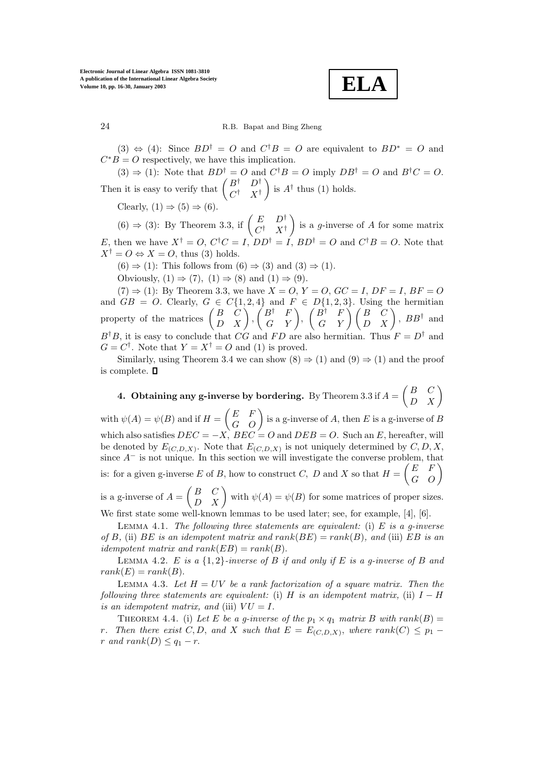**ELA**

(3)  $\Leftrightarrow$  (4): Since  $BD^{\dagger} = O$  and  $C^{\dagger}B = O$  are equivalent to  $BD^* = O$  and  $C^*B = O$  respectively, we have this implication.

 $(3) \Rightarrow (1)$ : Note that  $BD^{\dagger} = O$  and  $C^{\dagger}B = O$  imply  $DB^{\dagger} = O$  and  $B^{\dagger}C = O$ . Then it is easy to verify that  $\begin{pmatrix} B^{\dagger} & D^{\dagger} \\ C^{\dagger} & X^{\dagger} \end{pmatrix}$ ) is  $A^{\dagger}$  thus (1) holds.

Clearly,  $(1) \Rightarrow (5) \Rightarrow (6)$ .

 $(6) \Rightarrow (3)$ : By Theorem 3.3, if  $\begin{pmatrix} E & D^{\dagger} \\ C^{\dagger} & X^{\dagger} \end{pmatrix}$ is a *g*-inverse of  $\overline{A}$  for some matrix E, then we have  $X^{\dagger} = O$ ,  $C^{\dagger}C = I$ ,  $DD^{\dagger} = I$ ,  $BD^{\dagger} = O$  and  $C^{\dagger}B = O$ . Note that  $X^{\dagger} = O \Leftrightarrow X = O$ , thus (3) holds.

 $(6) \Rightarrow (1)$ : This follows from  $(6) \Rightarrow (3)$  and  $(3) \Rightarrow (1)$ .

Obviously,  $(1) \Rightarrow (7)$ ,  $(1) \Rightarrow (8)$  and  $(1) \Rightarrow (9)$ .

 $(7) \Rightarrow (1)$ : By Theorem 3.3, we have  $X = O, Y = O, GC = I, DF = I, BF = O$ and  $GB = O$ . Clearly,  $G \in C\{1, 2, 4\}$  and  $F \in D\{1, 2, 3\}$ . Using the hermitian property of the matrices  $\begin{pmatrix} B & C \ D & X \end{pmatrix}$ ,  $\begin{pmatrix} B^{\dagger} & F \ G & Y \end{pmatrix}$ ,  $\begin{pmatrix} B^{\dagger} & F \ G & Y \end{pmatrix}$ ,  $\begin{pmatrix} B & C \ D & X \end{pmatrix}$ ,  $BB^{\dagger}$  and  $B^{\dagger}B$ , it is easy to conclude that CG and FD are also hermitian. Thus  $F = D^{\dagger}$  and  $G = C^{\dagger}$ . Note that  $Y = X^{\dagger} = O$  and (1) is proved.

Similarly, using Theorem 3.4 we can show  $(8) \Rightarrow (1)$  and  $(9) \Rightarrow (1)$  and the proof is complete.

**4. Obtaining any g-inverse by bordering.** By Theorem 3.3 if  $A = \begin{pmatrix} B & C \ D & X \end{pmatrix}$ with  $\psi(A) = \psi(B)$  and if  $H = \begin{pmatrix} E & F \ G & O \end{pmatrix}$  is a g-inverse of A, then E is a g-inverse of B which also satisfies  $DEC = -X$ ,  $BEC = O$  and  $DEB = O$ . Such an E, hereafter, will be denoted by  $E_{(C,D,X)}$ . Note that  $E_{(C,D,X)}$  is not uniquely determined by  $C, D, X$ , since  $A^-$  is not unique. In this section we will investigate the converse problem, that is: for a given g-inverse E of B, how to construct C, D and X so that  $H = \begin{pmatrix} E & F \\ G & O \end{pmatrix}$ is a g-inverse of  $A = \begin{pmatrix} B & C \ D & X \end{pmatrix}$  with  $\psi(A) = \psi(B)$  for some matrices of proper sizes.

We first state some well-known lemmas to be used later; see, for example, [4], [6].

Lemma 4.1. *The following three statements are equivalent:* (i) E *is a g-inverse of*  $B$ *,* (ii)  $BE$  *is an idempotent matrix and rank* $(BE) = rank(B)$ *, and* (iii)  $EB$  *is an idempotent matrix and rank* $(EB) = rank(B)$ .

LEMMA 4.2. E *is a*  $\{1,2\}$ -*inverse of* B *if and only if* E *is a g-inverse of* B *and*  $rank(E) = rank(B).$ 

LEMMA 4.3. Let  $H = UV$  be a rank factorization of a square matrix. Then the *following three statements are equivalent:* (i) H *is an idempotent matrix*, (ii)  $I - H$ *is an idempotent matrix, and* (iii)  $VU = I$ .

THEOREM 4.4. (i) Let E be a g-inverse of the  $p_1 \times q_1$  matrix B with rank  $(B)$  = *r*. Then there exist C, D, and X such that  $E = E_{(C,D,X)}$ , where rank(C)  $\leq p_1$  – *r* and  $rank(D) \leq q_1 - r$ .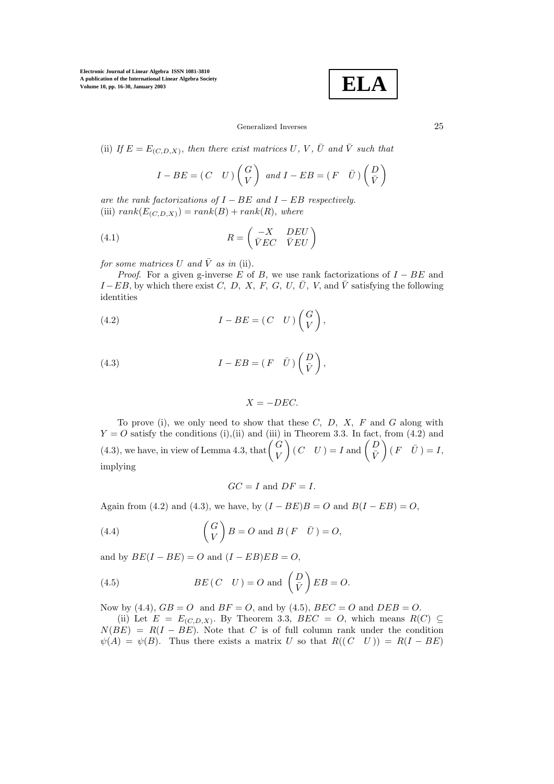**ELA**

## Generalized Inverses 25

(ii) *If*  $E = E_{(C,D,X)}$ , *then there exist matrices* U, V,  $\overline{U}$  *and*  $\overline{V}$  *such that* 

$$
I - BE = (C \quad U) \begin{pmatrix} G \\ V \end{pmatrix} \text{ and } I - EB = (F \quad \bar{U}) \begin{pmatrix} D \\ \bar{V} \end{pmatrix}
$$

*are the rank factorizations of*  $I - BE$  *and*  $I - EB$  *respectively.* (iii)  $rank(E_{(C,D,X)}) = rank(B) + rank(R)$ , where

(4.1) 
$$
R = \begin{pmatrix} -X & DEU \\ \bar{V}EC & \bar{V}EU \end{pmatrix}
$$

*for some matrices* U and  $\overline{V}$  as in (ii).

*Proof.* For a given g-inverse E of B, we use rank factorizations of  $I - BE$  and  $I - EB$ , by which there exist C, D, X, F, G, U,  $\overline{U}$ , V, and  $\overline{V}$  satisfying the following identities

(4.2) 
$$
I - BE = (C \quad U) \begin{pmatrix} G \\ V \end{pmatrix},
$$

(4.3) 
$$
I - EB = (F \quad \bar{U}) \begin{pmatrix} D \\ \bar{V} \end{pmatrix},
$$

$$
X = -DEC.
$$

To prove (i), we only need to show that these  $C, D, X, F$  and  $G$  along with  $Y = O$  satisfy the conditions (i),(ii) and (iii) in Theorem 3.3. In fact, from (4.2) and  $(4.3)$ , we have, in view of Lemma 4.3, that  $\begin{pmatrix} G \\ V \end{pmatrix}$  $\left ( \begin{array}{ll} C & U \end{array} \right ) = I \textrm{ and } \left ( \begin{array}{ll} D \ \bar V \end{array} \right )$  $(F \ \ \bar{U}) = I,$ implying

$$
GC = I \text{ and } DF = I.
$$

Again from (4.2) and (4.3), we have, by  $(I - BE)B = O$  and  $B(I - EB) = O$ ,

(4.4) 
$$
\begin{pmatrix} G \\ V \end{pmatrix} B = O \text{ and } B (F \quad \bar{U}) = O,
$$

and by  $BE(I - BE) = O$  and  $(I - EB)EB = O$ ,

(4.5) 
$$
BE(C \quad U) = O \text{ and } \left(\frac{D}{V}\right) EB = O.
$$

Now by (4.4),  $GB = O$  and  $BF = O$ , and by (4.5),  $BEC = O$  and  $DEB = O$ .

(ii) Let  $E = E_{(C,D,X)}$ . By Theorem 3.3, BEC = O, which means R(C) ⊆  $N(BE) = R(I - BE)$ . Note that C is of full column rank under the condition  $\psi(A) = \psi(B)$ . Thus there exists a matrix U so that  $R((C \ U)) = R(I - BE)$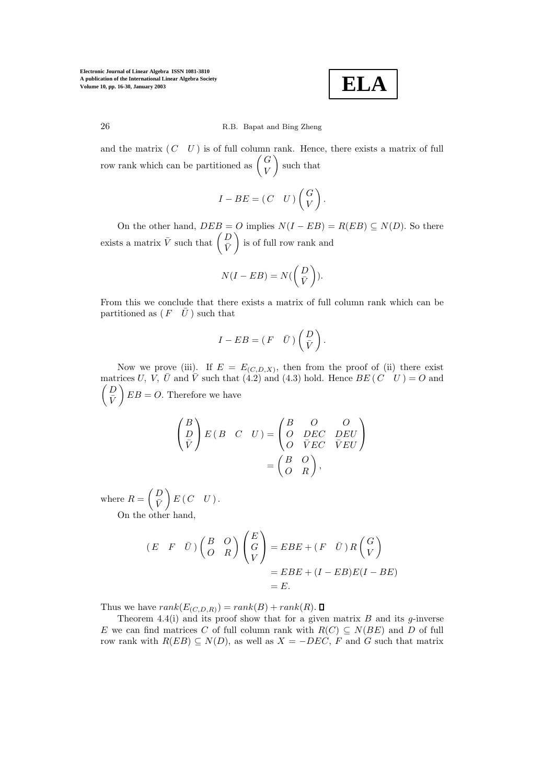**ELA**

and the matrix  $(C \ U)$  is of full column rank. Hence, there exists a matrix of full row rank which can be partitioned as  $\begin{pmatrix} G \\ V \end{pmatrix}$ such that

$$
I - BE = (C \quad U) \begin{pmatrix} G \\ V \end{pmatrix}.
$$

On the other hand,  $DEB = O$  implies  $N(I - EB) = R(EB) \subseteq N(D)$ . So there exists a matrix  $\bar{V}$  such that  $\begin{pmatrix} D \\ \bar{V} \end{pmatrix}$ is of full row rank and

$$
N(I - EB) = N(\binom{D}{\bar{V}}).
$$

From this we conclude that there exists a matrix of full column rank which can be partitioned as  $(F \quad \bar{U})$  such that

$$
I - EB = (F \quad \bar{U}) \begin{pmatrix} D \\ \bar{V} \end{pmatrix}.
$$

Now we prove (iii). If  $E = E_{(C, D, X)}$ , then from the proof of (ii) there exist matrices U, V,  $\bar{U}$  and  $\bar{V}$  such that (4.2) and (4.3) hold. Hence  $BE (C \ U ) = O$  and  $\bigcap$  $\bar{V}$  $\bigg\} EB = O.$  Therefore we have

$$
\begin{pmatrix} B \\ D \\ \bar{V} \end{pmatrix} E(B \quad C \quad U) = \begin{pmatrix} B & O & O \\ O & DE C & DE U \\ O & \bar{V} E C & \bar{V} E U \end{pmatrix}
$$

$$
= \begin{pmatrix} B & O \\ O & R \end{pmatrix},
$$

where  $R = \begin{pmatrix} D \\ \bar{V} \end{pmatrix}$  $\bar{V}$  $E(C \ U).$ On the other hand,

$$
(E \t F \t \bar{U}) \begin{pmatrix} B & O \\ O & R \end{pmatrix} \begin{pmatrix} E \\ G \\ V \end{pmatrix} = EBE + (F \t \bar{U}) R \begin{pmatrix} G \\ V \end{pmatrix}
$$

$$
= EBE + (I - EB)E(I - BE)
$$

$$
= E.
$$

Thus we have  $rank(E_{(C,D,R)}) = rank(B) + rank(R)$ .

Theorem 4.4(i) and its proof show that for a given matrix  $B$  and its  $g$ -inverse E we can find matrices C of full column rank with  $R(C) \subseteq N(BE)$  and D of full row rank with  $R(EB) \subseteq N(D)$ , as well as  $X = -DEC$ , F and G such that matrix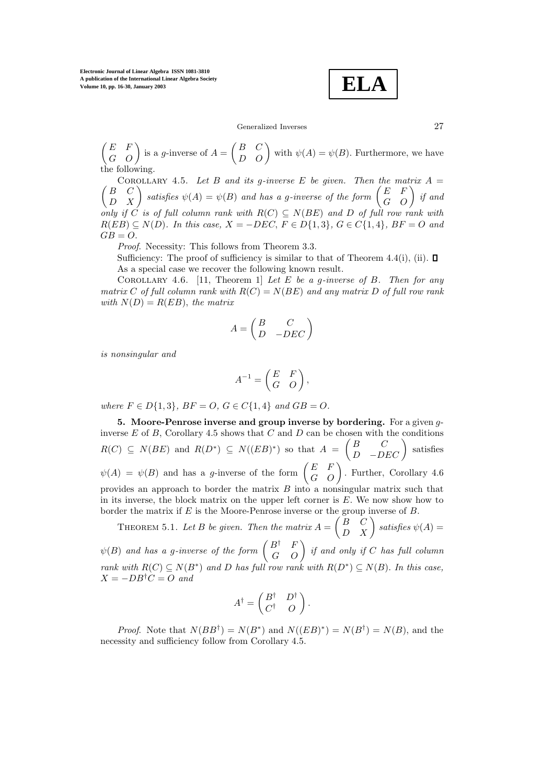**ELA**

Generalized Inverses 27

 $\begin{pmatrix} E & F \\ G & O \end{pmatrix}$  is a g-inverse of  $A = \begin{pmatrix} B & C \\ D & O \end{pmatrix}$  with  $\psi(A) = \psi(B)$ . Furthermore, we have the following.

 $\sqrt{2}$ COROLLARY 4.5. Let B and its g-inverse E be given. Then the matrix  $A =$  $\begin{pmatrix} B & C \ D & X \end{pmatrix}$  satisfies  $\psi(A) = \psi(B)$  and has a g-inverse of the form  $\begin{pmatrix} E & F \ G & O \end{pmatrix}$  if and *only if* C *is of full column rank with*  $R(C) \subseteq N(BE)$  *and* D *of full row rank with*  $R(EB) \subseteq N(D)$ *. In this case,*  $X = -DEC$ ,  $F \in D\{1,3\}$ *,*  $G \in C\{1,4\}$ *,*  $BF = O$  *and*  $GB = O.$ 

*Proof*. Necessity: This follows from Theorem 3.3.

Sufficiency: The proof of sufficiency is similar to that of Theorem 4.4(i), (ii).  $\Box$ As a special case we recover the following known result.

Corollary 4.6. [11, Theorem 1] *Let* E *be a* g*-inverse of* B*. Then for any matrix* C *of full column rank with* R(C) = N(BE) *and any matrix* D *of full row rank with*  $N(D) = R(EB)$ *, the matrix* 

$$
A = \begin{pmatrix} B & C \\ D & -DEC \end{pmatrix}
$$

*is nonsingular and*

$$
A^{-1} = \begin{pmatrix} E & F \\ G & O \end{pmatrix},
$$

*where*  $F \in D\{1, 3\}$ *,*  $BF = O$ *,*  $G \in C\{1, 4\}$  *and*  $GB = O$ *.* 

**5. Moore-Penrose inverse and group inverse by bordering.** For a given ginverse  $E$  of  $B$ , Corollary 4.5 shows that  $C$  and  $D$  can be chosen with the conditions  $R(C) \subseteq N(BE)$  and  $R(D^*) \subseteq N((EB)^*)$  so that  $A = \begin{pmatrix} B & C \ D & -DEC \end{pmatrix}$ satisfies  $\psi(A) = \psi(B)$  and has a g-inverse of the form  $\begin{pmatrix} E & F \\ G & O \end{pmatrix}$ . Further, Corollary 4.6 provides an approach to border the matrix  $B$  into a nonsingular matrix such that in its inverse, the block matrix on the upper left corner is E. We now show how to border the matrix if E is the Moore-Penrose inverse or the group inverse of B.

THEOREM 5.1. Let B be given. Then the matrix  $A = \begin{pmatrix} B & C \ D & X \end{pmatrix}$  satisfies  $\psi(A) =$  $\psi(B)$  and has a g-inverse of the form  $\begin{pmatrix} B^\dagger & F \ G & O \end{pmatrix}$  if and only if  $C$  has full column *rank with*  $R(C) \subseteq N(B^*)$  *and* D *has full row rank with*  $R(D^*) \subseteq N(B)$ . In this case,  $X = -DB^{\dagger}C = O$  and

$$
A^{\dagger} = \begin{pmatrix} B^{\dagger} & D^{\dagger} \\ C^{\dagger} & O \end{pmatrix}.
$$

*Proof.* Note that  $N(BB^{\dagger}) = N(B^*)$  and  $N((EB)^*) = N(B^{\dagger}) = N(B)$ , and the necessity and sufficiency follow from Corollary 4.5.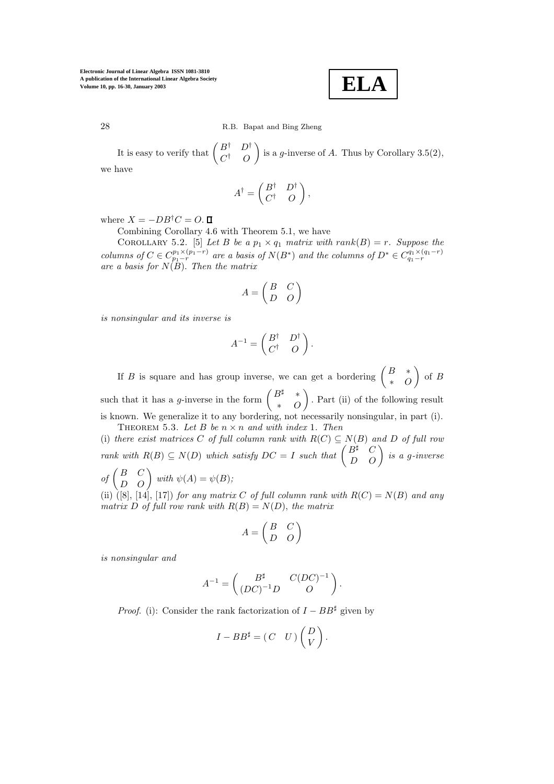**ELA**

28 R.B. Bapat and Bing Zheng

It is easy to verify that  $\begin{pmatrix} B^{\dagger} & D^{\dagger} \\ C^{\dagger} & O \end{pmatrix}$ is a g-inverse of A. Thus by Corollary 3.5(2), we have

$$
A^{\dagger} = \begin{pmatrix} B^{\dagger} & D^{\dagger} \\ C^{\dagger} & O \end{pmatrix},
$$

where  $X = -DB^{\dagger}C = O$ .  $\Box$ 

Combining Corollary 4.6 with Theorem 5.1, we have

COROLLARY 5.2. [5] *Let*  $B$  *be a*  $p_1 \times q_1$  *matrix with*  $rank(B) = r$ *. Suppose the columns of*  $C \in C_{p_1-r}^{p_1 \times (p_1-r)}$  *are a basis of*  $N(B^*)$  *and the columns of*  $D^* \in C_{q_1-r}^{q_1 \times (q_1-r)}$ *are a basis for* N(B). *Then the matrix*

$$
A = \begin{pmatrix} B & C \\ D & O \end{pmatrix}
$$

*is nonsingular and its inverse is*

$$
A^{-1} = \begin{pmatrix} B^{\dagger} & D^{\dagger} \\ C^{\dagger} & O \end{pmatrix}.
$$

If B is square and has group inverse, we can get a bordering  $\begin{pmatrix} B & * \\ * & O \end{pmatrix}$  $\Big)$  of B such that it has a *g*-inverse in the form  $\begin{pmatrix} B^{\sharp} & * \\ * & O \end{pmatrix}$  . Part (ii) of the following result is known. We generalize it to any bordering, not necessarily nonsingular, in part (i). THEOREM 5.3. Let  $B$  be  $n \times n$  and with index 1. Then

(i) *there exist matrices* C *of full column rank with*  $R(C) \subseteq N(B)$  *and* D *of full row rank with*  $R(B) \subseteq N(D)$  *which satisfy*  $DC = I$  *such that*  $\begin{pmatrix} B^{\sharp} & C \\ D & O \end{pmatrix}$  *is a g-inverse*  $of\begin{pmatrix} B & C \ D & O \end{pmatrix}$  with  $\psi(A) = \psi(B)$ ;

(ii)  $([8], [14], [17])$  *for any matrix* C *of full column rank with*  $R(C) = N(B)$  *and any matrix* D of full row rank with  $R(B) = N(D)$ , the matrix

$$
A = \begin{pmatrix} B & C \\ D & O \end{pmatrix}
$$

*is nonsingular and*

$$
A^{-1} = \begin{pmatrix} B^{\sharp} & C(DC)^{-1} \\ (DC)^{-1}D & O \end{pmatrix}.
$$

*Proof.* (i): Consider the rank factorization of  $I - BB^{\sharp}$  given by

$$
I - BB^{\sharp} = (C \quad U) \begin{pmatrix} D \\ V \end{pmatrix}.
$$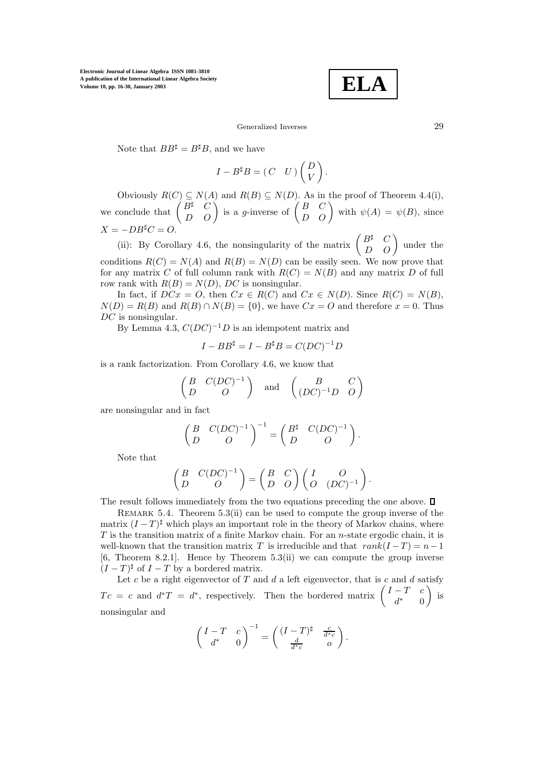$$
\boxed{\textbf{ELA}}
$$

#### Generalized Inverses 29

Note that  $BB^{\sharp} = B^{\sharp}B$ , and we have

$$
I - B^{\sharp} B = (C \quad U) \begin{pmatrix} D \\ V \end{pmatrix}.
$$

Obviously  $R(C) \subseteq N(A)$  and  $R(B) \subseteq N(D)$ . As in the proof of Theorem 4.4(i), we conclude that  $\begin{pmatrix} B^{\sharp} & C \\ D & O \end{pmatrix}$  is a g-inverse of  $\begin{pmatrix} B & C \\ D & O \end{pmatrix}$  with  $\psi(A) = \psi(B)$ , since  $X = -DB^{\sharp}C = O.$ 

(ii): By Corollary 4.6, the nonsingularity of the matrix  $\begin{pmatrix} B^{\sharp} & C \\ D & O \end{pmatrix}$  under the conditions  $R(C) = N(A)$  and  $R(B) = N(D)$  can be easily seen. We now prove that for any matrix C of full column rank with  $R(C) = N(B)$  and any matrix D of full row rank with  $R(B) = N(D)$ , DC is nonsingular.

In fact, if  $DCx = O$ , then  $Cx \in R(C)$  and  $Cx \in N(D)$ . Since  $R(C) = N(B)$ ,  $N(D) = R(B)$  and  $R(B) \cap N(B) = \{0\}$ , we have  $Cx = O$  and therefore  $x = 0$ . Thus DC is nonsingular.

By Lemma 4.3,  $C(DC)^{-1}D$  is an idempotent matrix and

$$
I - BB^{\sharp} = I - B^{\sharp}B = C(DC)^{-1}D
$$

is a rank factorization. From Corollary 4.6, we know that

$$
\begin{pmatrix}\nB & C(DC)^{-1} \\
D & O\n\end{pmatrix}\n\text{ and }\n\begin{pmatrix}\nB & C \\
(DC)^{-1}D & O\n\end{pmatrix}
$$

are nonsingular and in fact

$$
\begin{pmatrix} B & C(DC)^{-1} \\ D & O \end{pmatrix}^{-1} = \begin{pmatrix} B^{\sharp} & C(DC)^{-1} \\ D & O \end{pmatrix}.
$$

Note that

$$
\begin{pmatrix} B & C(DC)^{-1} \\ D & O \end{pmatrix} = \begin{pmatrix} B & C \\ D & O \end{pmatrix} \begin{pmatrix} I & O \\ O & (DC)^{-1} \end{pmatrix}.
$$

The result follows immediately from the two equations preceding the one above.  $\Box$ 

REMARK 5.4. Theorem  $5.3(ii)$  can be used to compute the group inverse of the matrix  $(I-T)^{\sharp}$  which plays an important role in the theory of Markov chains, where  $T$  is the transition matrix of a finite Markov chain. For an *n*-state ergodic chain, it is well-known that the transition matrix T is irreducible and that  $rank(I-T) = n-1$ [6, Theorem 8.2.1]. Hence by Theorem 5.3(ii) we can compute the group inverse  $(I-T)^{\sharp}$  of  $I-T$  by a bordered matrix.

Let  $c$  be a right eigenvector of  $T$  and  $d$  a left eigenvector, that is  $c$  and  $d$  satisfy  $T c = c$  and  $d^* T = d^*$ , respectively. Then the bordered matrix  $\begin{pmatrix} I - T & c \\ d^* & 0 \end{pmatrix}$  $\big)$  is nonsingular and

$$
\begin{pmatrix} I-T & c \\ d^* & 0 \end{pmatrix}^{-1} = \begin{pmatrix} (I-T)^{\sharp} & \frac{c}{d^*c} \\ \frac{d}{d^*c} & 0 \end{pmatrix}.
$$